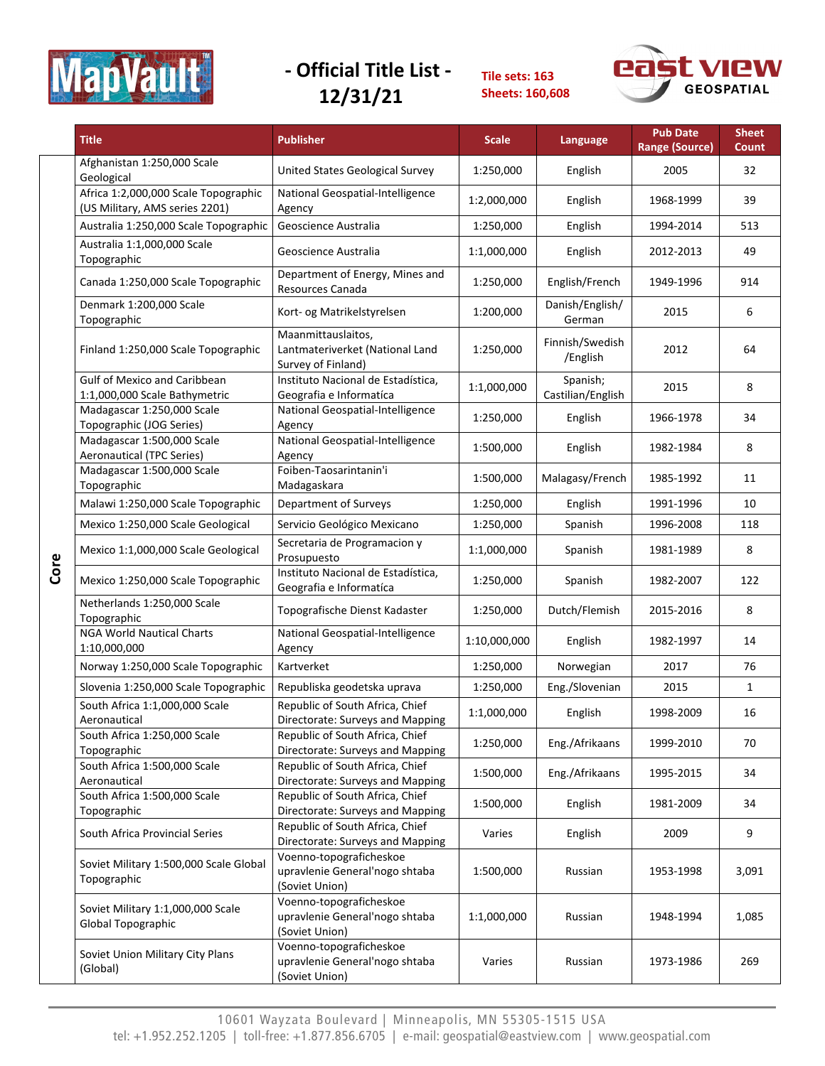

**Tile sets: 163 Sheets: 160,608**



|      | <b>Title</b>                                                           | <b>Publisher</b>                                                            | <b>Scale</b>                                 | Language                    | <b>Pub Date</b><br><b>Range (Source)</b> | <b>Sheet</b><br>Count |
|------|------------------------------------------------------------------------|-----------------------------------------------------------------------------|----------------------------------------------|-----------------------------|------------------------------------------|-----------------------|
|      | Afghanistan 1:250,000 Scale<br>Geological                              | United States Geological Survey                                             | 1:250,000                                    | English                     | 2005                                     | 32                    |
|      | Africa 1:2,000,000 Scale Topographic<br>(US Military, AMS series 2201) | National Geospatial-Intelligence<br>Agency                                  | 1:2,000,000                                  | English                     | 1968-1999                                | 39                    |
|      | Australia 1:250,000 Scale Topographic                                  | Geoscience Australia                                                        | 1:250,000                                    | English                     | 1994-2014                                | 513                   |
|      | Australia 1:1,000,000 Scale<br>Topographic                             | Geoscience Australia                                                        | 1:1,000,000                                  | English                     | 2012-2013                                | 49                    |
|      | Canada 1:250,000 Scale Topographic                                     | Department of Energy, Mines and<br>Resources Canada                         | 1:250,000                                    | English/French              | 1949-1996                                | 914                   |
|      | Denmark 1:200,000 Scale<br>Topographic                                 | Kort- og Matrikelstyrelsen                                                  | Danish/English/<br>1:200,000<br>German       |                             | 2015                                     | 6                     |
|      | Finland 1:250,000 Scale Topographic                                    | Maanmittauslaitos,<br>Lantmateriverket (National Land<br>Survey of Finland) | 1:250,000                                    | Finnish/Swedish<br>/English | 2012                                     | 64                    |
|      | <b>Gulf of Mexico and Caribbean</b><br>1:1,000,000 Scale Bathymetric   | Instituto Nacional de Estadística,<br>Geografia e Informatíca               | Spanish;<br>1:1,000,000<br>Castilian/English |                             | 2015                                     | 8                     |
|      | Madagascar 1:250,000 Scale<br>Topographic (JOG Series)                 | National Geospatial-Intelligence<br>Agency                                  | 1:250,000                                    | English                     | 1966-1978                                | 34                    |
|      | Madagascar 1:500,000 Scale<br><b>Aeronautical (TPC Series)</b>         | National Geospatial-Intelligence<br>Agency                                  | 1:500,000                                    | English                     | 1982-1984                                | 8                     |
|      | Madagascar 1:500,000 Scale<br>Topographic                              | Foiben-Taosarintanin'i<br>Madagaskara                                       | 1:500,000                                    | Malagasy/French             | 1985-1992                                | 11                    |
|      | Malawi 1:250,000 Scale Topographic                                     | Department of Surveys                                                       | 1:250,000                                    | English                     | 1991-1996                                | 10                    |
|      | Mexico 1:250,000 Scale Geological                                      | Servicio Geológico Mexicano                                                 | 1:250,000                                    | Spanish                     | 1996-2008                                | 118                   |
|      | Mexico 1:1,000,000 Scale Geological                                    | Secretaria de Programacion y<br>Prosupuesto                                 | 1:1,000,000                                  | Spanish                     | 1981-1989                                | 8                     |
| Core | Mexico 1:250,000 Scale Topographic                                     | Instituto Nacional de Estadística,<br>Geografia e Informatíca               | 1:250,000                                    | Spanish                     | 1982-2007                                | 122                   |
|      | Netherlands 1:250,000 Scale<br>Topographic                             | Topografische Dienst Kadaster                                               | 1:250,000                                    | Dutch/Flemish               | 2015-2016                                | 8                     |
|      | <b>NGA World Nautical Charts</b><br>1:10,000,000                       | National Geospatial-Intelligence<br>Agency                                  | 1:10,000,000                                 | English                     | 1982-1997                                | 14                    |
|      | Norway 1:250,000 Scale Topographic                                     | Kartverket                                                                  | 1:250,000                                    | Norwegian                   |                                          | 76                    |
|      | Slovenia 1:250,000 Scale Topographic                                   | Republiska geodetska uprava                                                 | 1:250,000                                    | Eng./Slovenian              | 2015                                     | $\mathbf{1}$          |
|      | South Africa 1:1,000,000 Scale<br>Aeronautical                         | Republic of South Africa, Chief<br>Directorate: Surveys and Mapping         | 1:1,000,000                                  | English                     | 1998-2009                                | 16                    |
|      | South Africa 1:250,000 Scale<br>Topographic                            | Republic of South Africa, Chief<br>Directorate: Surveys and Mapping         | 1:250,000                                    | Eng./Afrikaans              | 1999-2010                                | 70                    |
|      | South Africa 1:500,000 Scale<br>Aeronautical                           | Republic of South Africa, Chief<br>Directorate: Surveys and Mapping         | 1:500,000                                    | Eng./Afrikaans              | 1995-2015                                | 34                    |
|      | South Africa 1:500,000 Scale<br>Topographic                            | Republic of South Africa, Chief<br>Directorate: Surveys and Mapping         | 1:500,000                                    | English                     | 1981-2009                                | 34                    |
|      | South Africa Provincial Series                                         | Republic of South Africa, Chief<br>Directorate: Surveys and Mapping         | Varies                                       | English                     | 2009                                     | 9                     |
|      | Soviet Military 1:500,000 Scale Global<br>Topographic                  | Voenno-topograficheskoe<br>upravlenie General'nogo shtaba<br>(Soviet Union) | 1:500,000                                    | Russian                     | 1953-1998                                | 3,091                 |
|      | Soviet Military 1:1,000,000 Scale<br>Global Topographic                | Voenno-topograficheskoe<br>upravlenie General'nogo shtaba<br>(Soviet Union) | 1:1,000,000                                  | Russian                     | 1948-1994                                | 1,085                 |
|      | Soviet Union Military City Plans<br>(Global)                           | Voenno-topograficheskoe<br>upravlenie General'nogo shtaba<br>(Soviet Union) | Varies                                       | Russian                     | 1973-1986                                | 269                   |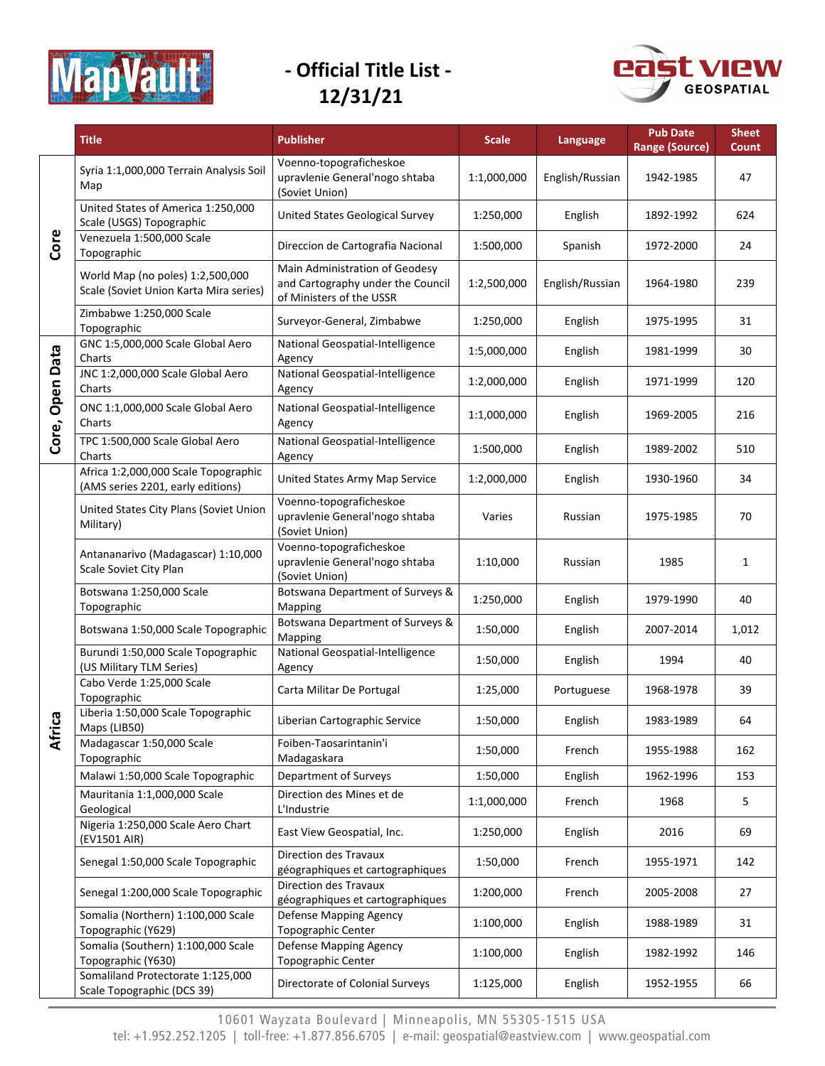



|                  | <b>Title</b>                                                               | <b>Publisher</b>                                                                                | <b>Scale</b> | Language        | <b>Pub Date</b><br><b>Range (Source)</b> | <b>Sheet</b><br>Count |
|------------------|----------------------------------------------------------------------------|-------------------------------------------------------------------------------------------------|--------------|-----------------|------------------------------------------|-----------------------|
|                  | Syria 1:1,000,000 Terrain Analysis Soil<br>Map                             | Voenno-topograficheskoe<br>upravlenie General'nogo shtaba<br>(Soviet Union)                     | 1:1,000,000  | English/Russian | 1942-1985                                | 47                    |
|                  | United States of America 1:250,000<br>Scale (USGS) Topographic             | <b>United States Geological Survey</b>                                                          | 1:250,000    | English         | 1892-1992                                | 624                   |
| Core             | Venezuela 1:500,000 Scale<br>Topographic                                   | Direccion de Cartografia Nacional                                                               | 1:500,000    | Spanish         | 1972-2000                                | 24                    |
|                  | World Map (no poles) 1:2,500,000<br>Scale (Soviet Union Karta Mira series) | Main Administration of Geodesy<br>and Cartography under the Council<br>of Ministers of the USSR | 1:2,500,000  | English/Russian | 1964-1980                                | 239                   |
|                  | Zimbabwe 1:250,000 Scale<br>Topographic                                    | Surveyor-General, Zimbabwe                                                                      | 1:250,000    | English         | 1975-1995                                | 31                    |
|                  | GNC 1:5,000,000 Scale Global Aero<br>Charts                                | National Geospatial-Intelligence<br>Agency                                                      | 1:5,000,000  | English         | 1981-1999                                | 30                    |
| <b>Open Data</b> | JNC 1:2,000,000 Scale Global Aero<br>Charts                                | National Geospatial-Intelligence<br>Agency                                                      | 1:2,000,000  | English         | 1971-1999                                | 120                   |
|                  | ONC 1:1,000,000 Scale Global Aero<br>Charts                                | National Geospatial-Intelligence<br>Agency                                                      | 1:1,000,000  | English         | 1969-2005                                | 216                   |
| Core,            | TPC 1:500,000 Scale Global Aero<br>Charts                                  | National Geospatial-Intelligence<br>Agency                                                      | 1:500,000    | English         | 1989-2002                                | 510                   |
|                  | Africa 1:2,000,000 Scale Topographic<br>(AMS series 2201, early editions)  | United States Army Map Service                                                                  | 1:2,000,000  | English         | 1930-1960                                | 34                    |
|                  | United States City Plans (Soviet Union<br>Military)                        | Voenno-topograficheskoe<br>upravlenie General'nogo shtaba<br>(Soviet Union)                     | Varies       | Russian         | 1975-1985                                | 70                    |
|                  | Antananarivo (Madagascar) 1:10,000<br>Scale Soviet City Plan               | Voenno-topograficheskoe<br>upravlenie General'nogo shtaba<br>(Soviet Union)                     | 1:10,000     | Russian         | 1985                                     | 1                     |
|                  | Botswana 1:250,000 Scale<br>Topographic                                    | Botswana Department of Surveys &<br>Mapping                                                     | 1:250,000    | English         | 1979-1990                                | 40                    |
|                  | Botswana 1:50,000 Scale Topographic                                        | Botswana Department of Surveys &<br>Mapping                                                     | 1:50,000     | English         | 2007-2014                                | 1,012                 |
|                  | Burundi 1:50,000 Scale Topographic<br>(US Military TLM Series)             | National Geospatial-Intelligence<br>Agency                                                      | 1:50,000     | English         | 1994                                     | 40                    |
|                  | Cabo Verde 1:25,000 Scale<br>Topographic                                   | Carta Militar De Portugal                                                                       | 1:25,000     | Portuguese      | 1968-1978                                | 39                    |
| ၛၟ               | Liberia 1:50,000 Scale Topographic<br>Maps (LIB50)                         | Liberian Cartographic Service                                                                   | 1:50,000     | English         | 1983-1989                                | 64                    |
| Afri             | Madagascar 1:50,000 Scale<br>Topographic                                   | Foiben-Taosarintanin'i<br>Madagaskara                                                           | 1:50,000     | French          | 1955-1988                                | 162                   |
|                  | Malawi 1:50,000 Scale Topographic                                          | Department of Surveys                                                                           | 1:50,000     | English         | 1962-1996                                | 153                   |
|                  | Mauritania 1:1,000,000 Scale<br>Geological                                 | Direction des Mines et de<br>L'Industrie                                                        | 1:1,000,000  | French          | 1968                                     | 5                     |
|                  | Nigeria 1:250,000 Scale Aero Chart<br>(EV1501 AIR)                         | East View Geospatial, Inc.                                                                      | 1:250,000    | English         | 2016                                     | 69                    |
|                  | Senegal 1:50,000 Scale Topographic                                         | <b>Direction des Travaux</b><br>géographiques et cartographiques                                | 1:50,000     | French          | 1955-1971                                | 142                   |
|                  | Senegal 1:200,000 Scale Topographic                                        | Direction des Travaux<br>géographiques et cartographiques                                       | 1:200,000    | French          | 2005-2008                                | 27                    |
|                  | Somalia (Northern) 1:100,000 Scale<br>Topographic (Y629)                   | Defense Mapping Agency<br>Topographic Center                                                    | 1:100,000    | English         | 1988-1989                                | 31                    |
|                  | Somalia (Southern) 1:100,000 Scale<br>Topographic (Y630)                   | Defense Mapping Agency<br><b>Topographic Center</b>                                             | 1:100,000    | English         | 1982-1992                                | 146                   |
|                  | Somaliland Protectorate 1:125,000<br>Scale Topographic (DCS 39)            | Directorate of Colonial Surveys                                                                 | 1:125,000    | English         | 1952-1955                                | 66                    |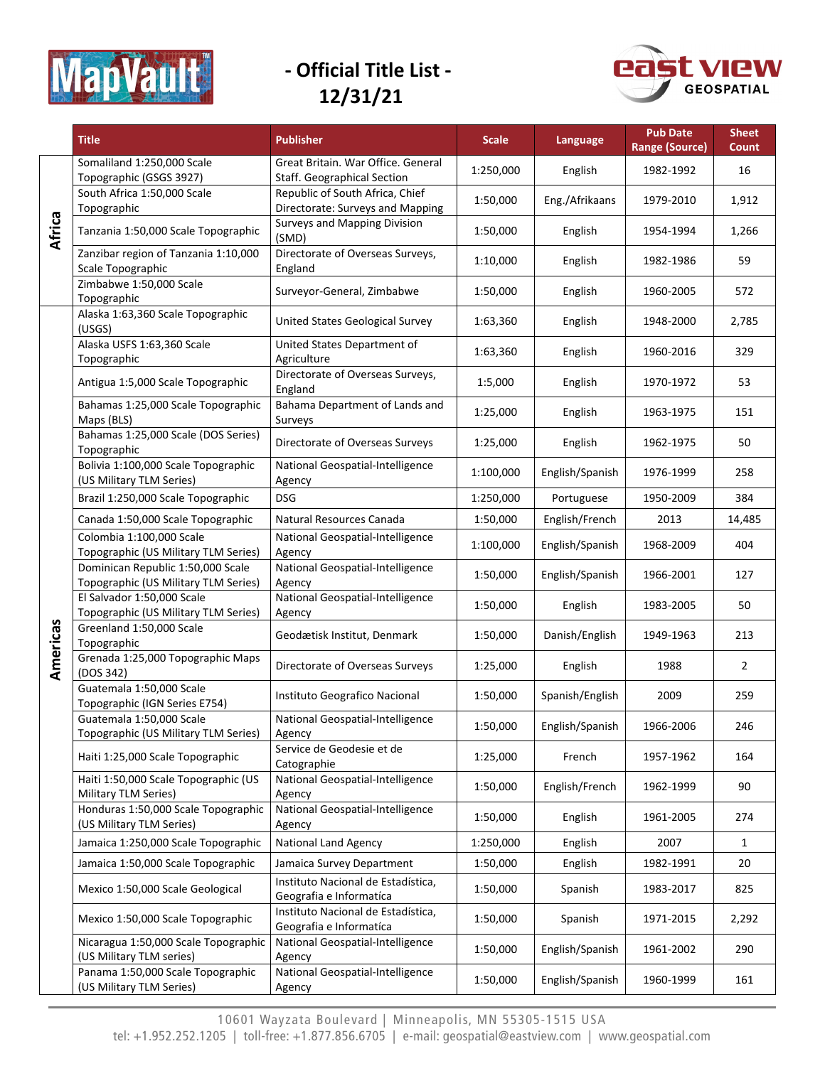



|          | <b>Title</b>                                                              | <b>Publisher</b>                                                         | <b>Scale</b> | Language        | <b>Pub Date</b><br><b>Range (Source)</b> | <b>Sheet</b><br>Count |
|----------|---------------------------------------------------------------------------|--------------------------------------------------------------------------|--------------|-----------------|------------------------------------------|-----------------------|
|          | Somaliland 1:250,000 Scale<br>Topographic (GSGS 3927)                     | Great Britain. War Office. General<br><b>Staff. Geographical Section</b> | 1:250,000    | English         | 1982-1992                                | 16                    |
|          | South Africa 1:50,000 Scale<br>Topographic                                | Republic of South Africa, Chief<br>Directorate: Surveys and Mapping      | 1:50,000     | Eng./Afrikaans  | 1979-2010                                | 1,912                 |
| Africa   | Tanzania 1:50,000 Scale Topographic                                       | <b>Surveys and Mapping Division</b><br>(SMD)                             | 1:50,000     | English         | 1954-1994                                | 1,266                 |
|          | Zanzibar region of Tanzania 1:10,000<br>Scale Topographic                 | Directorate of Overseas Surveys,<br>England                              | 1:10,000     | English         | 1982-1986                                | 59                    |
|          | Zimbabwe 1:50,000 Scale<br>Topographic                                    | Surveyor-General, Zimbabwe                                               | 1:50,000     | English         | 1960-2005                                | 572                   |
|          | Alaska 1:63,360 Scale Topographic<br>(USGS)                               | United States Geological Survey                                          | 1:63,360     | English         | 1948-2000                                | 2,785                 |
|          | Alaska USFS 1:63,360 Scale<br>Topographic                                 | United States Department of<br>Agriculture                               | 1:63,360     | English         | 1960-2016                                | 329                   |
|          | Antigua 1:5,000 Scale Topographic                                         | Directorate of Overseas Surveys,<br>England                              | 1:5,000      | English         | 1970-1972                                | 53                    |
|          | Bahamas 1:25,000 Scale Topographic<br>Maps (BLS)                          | Bahama Department of Lands and<br>Surveys                                | 1:25,000     | English         | 1963-1975                                | 151                   |
|          | Bahamas 1:25,000 Scale (DOS Series)<br>Topographic                        | Directorate of Overseas Surveys                                          | 1:25,000     | English         | 1962-1975                                | 50                    |
|          | Bolivia 1:100,000 Scale Topographic<br>(US Military TLM Series)           | National Geospatial-Intelligence<br>Agency                               | 1:100,000    | English/Spanish | 1976-1999                                | 258                   |
|          | Brazil 1:250,000 Scale Topographic                                        | <b>DSG</b>                                                               | 1:250,000    | Portuguese      | 1950-2009                                | 384                   |
|          | Canada 1:50,000 Scale Topographic                                         | Natural Resources Canada                                                 | 1:50,000     | English/French  | 2013                                     | 14,485                |
|          | Colombia 1:100,000 Scale<br>Topographic (US Military TLM Series)          | National Geospatial-Intelligence<br>Agency                               | 1:100,000    | English/Spanish | 1968-2009                                | 404                   |
|          | Dominican Republic 1:50,000 Scale<br>Topographic (US Military TLM Series) | National Geospatial-Intelligence<br>Agency                               | 1:50,000     | English/Spanish | 1966-2001                                | 127                   |
|          | El Salvador 1:50,000 Scale<br>Topographic (US Military TLM Series)        | National Geospatial-Intelligence<br>Agency                               | 1:50,000     | English         | 1983-2005                                | 50                    |
| Americas | Greenland 1:50,000 Scale<br>Topographic                                   | Geodætisk Institut, Denmark                                              | 1:50,000     | Danish/English  | 1949-1963                                | 213                   |
|          | Grenada 1:25,000 Topographic Maps<br>(DOS 342)                            | Directorate of Overseas Surveys                                          | 1:25,000     | English         | 1988                                     | $\overline{2}$        |
|          | Guatemala 1:50,000 Scale<br>Topographic (IGN Series E754)                 | Instituto Geografico Nacional                                            | 1:50,000     | Spanish/English | 2009                                     | 259                   |
|          | Guatemala 1:50,000 Scale<br>Topographic (US Military TLM Series)          | National Geospatial-Intelligence<br>Agency                               | 1:50,000     | English/Spanish | 1966-2006                                | 246                   |
|          | Haiti 1:25,000 Scale Topographic                                          | Service de Geodesie et de<br>Catographie                                 | 1:25,000     | French          | 1957-1962                                | 164                   |
|          | Haiti 1:50,000 Scale Topographic (US<br>Military TLM Series)              | National Geospatial-Intelligence<br>Agency                               | 1:50,000     | English/French  | 1962-1999                                | 90                    |
|          | Honduras 1:50,000 Scale Topographic<br>(US Military TLM Series)           | National Geospatial-Intelligence<br>Agency                               | 1:50,000     | English         | 1961-2005                                | 274                   |
|          | Jamaica 1:250,000 Scale Topographic                                       | <b>National Land Agency</b>                                              | 1:250,000    | English         | 2007                                     | $\mathbf{1}$          |
|          | Jamaica 1:50,000 Scale Topographic                                        | Jamaica Survey Department                                                | 1:50,000     | English         | 1982-1991                                | 20                    |
|          | Mexico 1:50,000 Scale Geological                                          | Instituto Nacional de Estadística,<br>Geografia e Informatíca            | 1:50,000     | Spanish         | 1983-2017                                | 825                   |
|          | Mexico 1:50,000 Scale Topographic                                         | Instituto Nacional de Estadística,<br>Geografia e Informatíca            | 1:50,000     | Spanish         | 1971-2015                                | 2,292                 |
|          | Nicaragua 1:50,000 Scale Topographic<br>(US Military TLM series)          | National Geospatial-Intelligence<br>Agency                               | 1:50,000     | English/Spanish | 1961-2002                                | 290                   |
|          | Panama 1:50,000 Scale Topographic<br>(US Military TLM Series)             | National Geospatial-Intelligence<br>Agency                               | 1:50,000     | English/Spanish | 1960-1999                                | 161                   |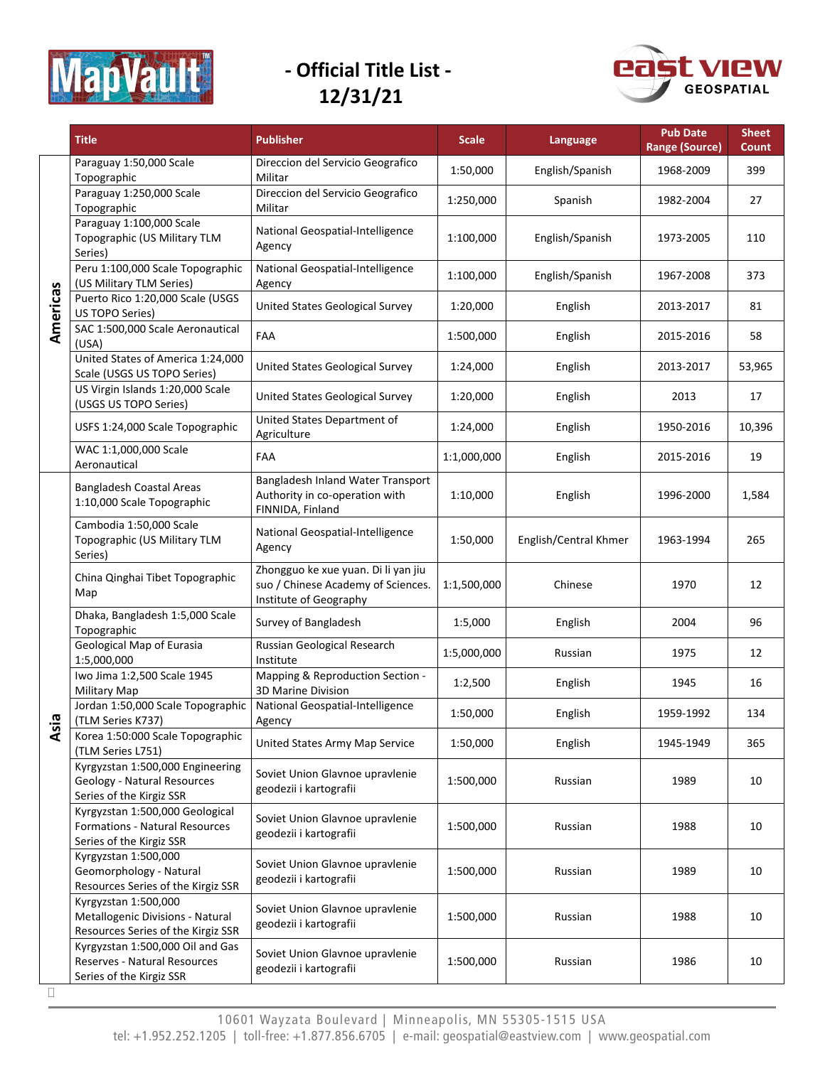



|                | <b>Title</b>                                                                                         | <b>Publisher</b>                                                                                    | <b>Scale</b> | Language              | <b>Pub Date</b><br><b>Range (Source)</b> | <b>Sheet</b><br>Count |
|----------------|------------------------------------------------------------------------------------------------------|-----------------------------------------------------------------------------------------------------|--------------|-----------------------|------------------------------------------|-----------------------|
|                | Paraguay 1:50,000 Scale<br>Topographic                                                               | Direccion del Servicio Geografico<br>Militar                                                        | 1:50,000     | English/Spanish       | 1968-2009                                | 399                   |
|                | Paraguay 1:250,000 Scale<br>Topographic                                                              | Direccion del Servicio Geografico<br>Militar                                                        | 1:250,000    | Spanish               | 1982-2004                                | 27                    |
|                | Paraguay 1:100,000 Scale<br>Topographic (US Military TLM<br>Series)                                  | National Geospatial-Intelligence<br>Agency                                                          | 1:100,000    | English/Spanish       | 1973-2005                                | 110                   |
|                | Peru 1:100,000 Scale Topographic<br>(US Military TLM Series)                                         | National Geospatial-Intelligence<br>Agency                                                          | 1:100,000    | English/Spanish       | 1967-2008                                | 373                   |
| Americas       | Puerto Rico 1:20,000 Scale (USGS<br>US TOPO Series)                                                  | United States Geological Survey                                                                     | 1:20,000     | English               | 2013-2017                                | 81                    |
|                | SAC 1:500,000 Scale Aeronautical<br>(USA)                                                            | FAA                                                                                                 | 1:500,000    | English               | 2015-2016                                | 58                    |
|                | United States of America 1:24,000<br>Scale (USGS US TOPO Series)                                     | United States Geological Survey                                                                     | 1:24,000     | English               | 2013-2017                                | 53,965                |
|                | US Virgin Islands 1:20,000 Scale<br>(USGS US TOPO Series)                                            | United States Geological Survey                                                                     | 1:20,000     | English               | 2013                                     | 17                    |
|                | USFS 1:24,000 Scale Topographic                                                                      | United States Department of<br>Agriculture                                                          | 1:24,000     | English               | 1950-2016                                | 10,396                |
|                | WAC 1:1,000,000 Scale<br>Aeronautical                                                                | FAA                                                                                                 | 1:1,000,000  | English               | 2015-2016                                | 19                    |
|                | <b>Bangladesh Coastal Areas</b><br>1:10,000 Scale Topographic                                        | Bangladesh Inland Water Transport<br>Authority in co-operation with<br>FINNIDA, Finland             | 1:10,000     | English               | 1996-2000                                | 1,584                 |
|                | Cambodia 1:50,000 Scale<br>Topographic (US Military TLM<br>Series)                                   | National Geospatial-Intelligence<br>Agency                                                          | 1:50,000     | English/Central Khmer | 1963-1994                                | 265                   |
|                | China Qinghai Tibet Topographic<br>Map                                                               | Zhongguo ke xue yuan. Di li yan jiu<br>suo / Chinese Academy of Sciences.<br>Institute of Geography | 1:1,500,000  | Chinese               | 1970                                     | 12                    |
|                | Dhaka, Bangladesh 1:5,000 Scale<br>Topographic                                                       | Survey of Bangladesh                                                                                | 1:5,000      | English               | 2004                                     | 96                    |
|                | Geological Map of Eurasia<br>1:5,000,000                                                             | Russian Geological Research<br>Institute                                                            | 1:5,000,000  | Russian               | 1975                                     | 12                    |
|                | Iwo Jima 1:2,500 Scale 1945<br>Military Map                                                          | Mapping & Reproduction Section -<br>3D Marine Division                                              | 1:2,500      | English               | 1945                                     | 16                    |
| ത              | Jordan 1:50,000 Scale Topographic<br>(TLM Series K737)                                               | National Geospatial-Intelligence<br>Agency                                                          | 1:50,000     | English               | 1959-1992                                | 134                   |
| $\overline{a}$ | Korea 1:50:000 Scale Topographic<br>(TLM Series L751)                                                | United States Army Map Service                                                                      | 1:50,000     | English               | 1945-1949                                | 365                   |
|                | Kyrgyzstan 1:500,000 Engineering<br>Geology - Natural Resources<br>Series of the Kirgiz SSR          | Soviet Union Glavnoe upravlenie<br>geodezii i kartografii                                           | 1:500,000    | Russian               | 1989                                     | 10                    |
|                | Kyrgyzstan 1:500,000 Geological<br><b>Formations - Natural Resources</b><br>Series of the Kirgiz SSR | Soviet Union Glavnoe upravlenie<br>geodezii i kartografii                                           | 1:500,000    | Russian               | 1988                                     | 10                    |
|                | Kyrgyzstan 1:500,000<br>Geomorphology - Natural<br>Resources Series of the Kirgiz SSR                | Soviet Union Glavnoe upravlenie<br>geodezii i kartografii                                           | 1:500,000    | Russian               | 1989                                     | 10                    |
|                | Kyrgyzstan 1:500,000<br>Metallogenic Divisions - Natural<br>Resources Series of the Kirgiz SSR       | Soviet Union Glavnoe upravlenie<br>geodezii i kartografii                                           | 1:500,000    | Russian               | 1988                                     | 10                    |
|                | Kyrgyzstan 1:500,000 Oil and Gas<br>Reserves - Natural Resources<br>Series of the Kirgiz SSR         | Soviet Union Glavnoe upravlenie<br>geodezii i kartografii                                           | 1:500,000    | Russian               | 1986                                     | 10                    |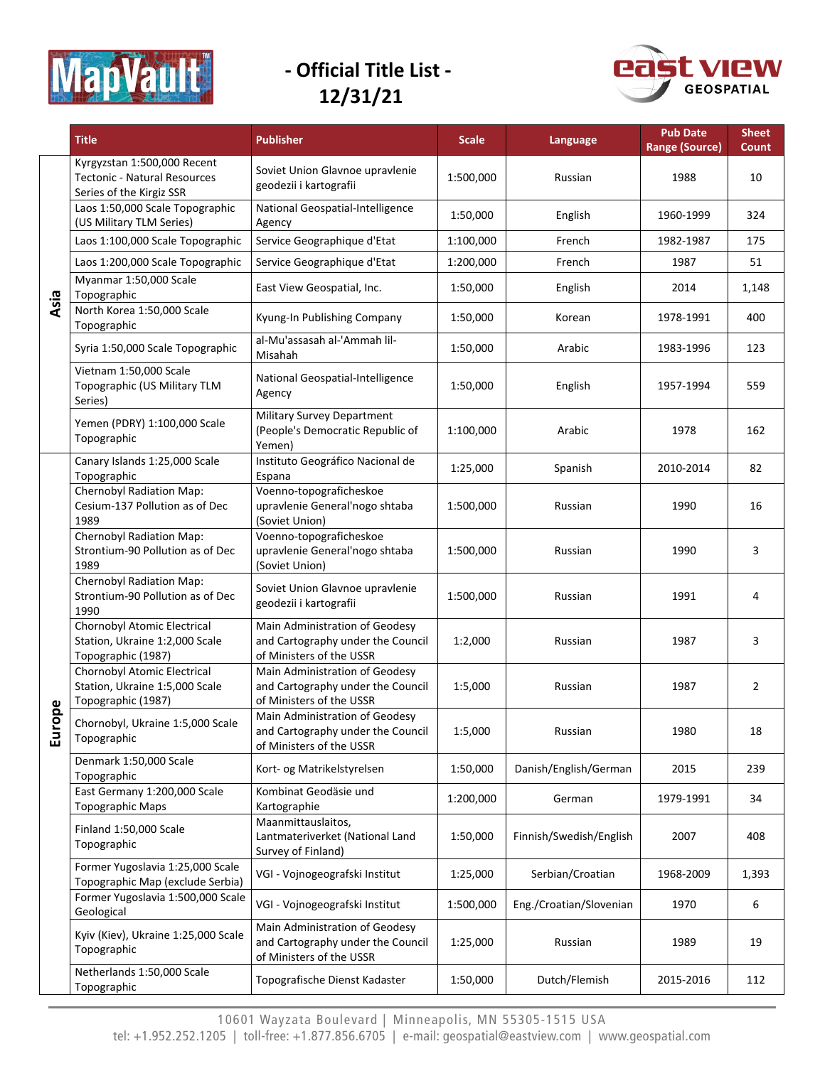



|           | <b>Title</b>                                                                                   | <b>Publisher</b>                                                                                | <b>Scale</b> | Language                | <b>Pub Date</b><br><b>Range (Source)</b> | <b>Sheet</b><br><b>Count</b> |
|-----------|------------------------------------------------------------------------------------------------|-------------------------------------------------------------------------------------------------|--------------|-------------------------|------------------------------------------|------------------------------|
|           | Kyrgyzstan 1:500,000 Recent<br><b>Tectonic - Natural Resources</b><br>Series of the Kirgiz SSR | Soviet Union Glavnoe upravlenie<br>geodezii i kartografii                                       | 1:500,000    | Russian                 | 1988                                     | 10                           |
|           | Laos 1:50,000 Scale Topographic<br>(US Military TLM Series)                                    | National Geospatial-Intelligence<br>Agency                                                      | 1:50,000     | English                 | 1960-1999                                | 324                          |
|           | Laos 1:100,000 Scale Topographic                                                               | Service Geographique d'Etat                                                                     | 1:100,000    | French                  | 1982-1987                                | 175                          |
|           | Laos 1:200,000 Scale Topographic                                                               | Service Geographique d'Etat                                                                     | 1:200,000    | French                  | 1987                                     | 51                           |
| Asia      | Myanmar 1:50,000 Scale<br>Topographic                                                          | East View Geospatial, Inc.                                                                      | 1:50,000     | English                 | 2014                                     | 1,148                        |
|           | North Korea 1:50,000 Scale<br>Topographic                                                      | Kyung-In Publishing Company                                                                     | 1:50,000     | Korean                  | 1978-1991                                | 400                          |
|           | Syria 1:50,000 Scale Topographic                                                               | al-Mu'assasah al-'Ammah lil-<br>Misahah                                                         | 1:50,000     | Arabic                  | 1983-1996                                | 123                          |
|           | Vietnam 1:50,000 Scale<br>Topographic (US Military TLM<br>Series)                              | National Geospatial-Intelligence<br>Agency                                                      | 1:50,000     | English                 | 1957-1994                                | 559                          |
|           | Yemen (PDRY) 1:100,000 Scale<br>Topographic                                                    | Military Survey Department<br>(People's Democratic Republic of<br>Yemen)                        | 1:100,000    | Arabic                  | 1978                                     | 162                          |
|           | Canary Islands 1:25,000 Scale<br>Topographic                                                   | Instituto Geográfico Nacional de<br>Espana                                                      | 1:25,000     | Spanish                 | 2010-2014                                | 82                           |
|           | Chernobyl Radiation Map:<br>Cesium-137 Pollution as of Dec<br>1989                             | Voenno-topograficheskoe<br>upravlenie General'nogo shtaba<br>(Soviet Union)                     | 1:500,000    | Russian                 | 1990                                     | 16                           |
|           | Chernobyl Radiation Map:<br>Strontium-90 Pollution as of Dec<br>1989                           | Voenno-topograficheskoe<br>upravlenie General'nogo shtaba<br>(Soviet Union)                     | 1:500,000    | Russian                 | 1990                                     | 3                            |
|           | Chernobyl Radiation Map:<br>Strontium-90 Pollution as of Dec<br>1990                           | Soviet Union Glavnoe upravlenie<br>geodezii i kartografii                                       | 1:500,000    | Russian                 | 1991                                     | 4                            |
|           | Chornobyl Atomic Electrical<br>Station, Ukraine 1:2,000 Scale<br>Topographic (1987)            | Main Administration of Geodesy<br>and Cartography under the Council<br>of Ministers of the USSR | 1:2,000      | Russian                 | 1987                                     | 3                            |
|           | Chornobyl Atomic Electrical<br>Station, Ukraine 1:5,000 Scale<br>Topographic (1987)            | Main Administration of Geodesy<br>and Cartography under the Council<br>of Ministers of the USSR | 1:5,000      | Russian                 | 1987                                     | 2                            |
| ope<br>Ĕu | Chornobyl, Ukraine 1:5,000 Scale<br>Topographic                                                | Main Administration of Geodesy<br>and Cartography under the Council<br>of Ministers of the USSR | 1:5,000      | Russian                 | 1980                                     | 18                           |
|           | Denmark 1:50,000 Scale<br>Topographic                                                          | Kort- og Matrikelstyrelsen                                                                      | 1:50,000     | Danish/English/German   | 2015                                     | 239                          |
|           | East Germany 1:200,000 Scale<br><b>Topographic Maps</b>                                        | Kombinat Geodäsie und<br>Kartographie                                                           | 1:200,000    | German                  | 1979-1991                                | 34                           |
|           | Finland 1:50,000 Scale<br>Topographic                                                          | Maanmittauslaitos,<br>Lantmateriverket (National Land<br>Survey of Finland)                     | 1:50,000     | Finnish/Swedish/English | 2007                                     | 408                          |
|           | Former Yugoslavia 1:25,000 Scale<br>Topographic Map (exclude Serbia)                           | VGI - Vojnogeografski Institut                                                                  | 1:25,000     | Serbian/Croatian        | 1968-2009                                | 1,393                        |
|           | Former Yugoslavia 1:500,000 Scale<br>Geological                                                | VGI - Vojnogeografski Institut                                                                  | 1:500,000    | Eng./Croatian/Slovenian | 1970                                     | 6                            |
|           | Kyiv (Kiev), Ukraine 1:25,000 Scale<br>Topographic                                             | Main Administration of Geodesy<br>and Cartography under the Council<br>of Ministers of the USSR | 1:25,000     | Russian                 | 1989                                     | 19                           |
|           | Netherlands 1:50,000 Scale<br>Topographic                                                      | Topografische Dienst Kadaster                                                                   | 1:50,000     | Dutch/Flemish           | 2015-2016                                | 112                          |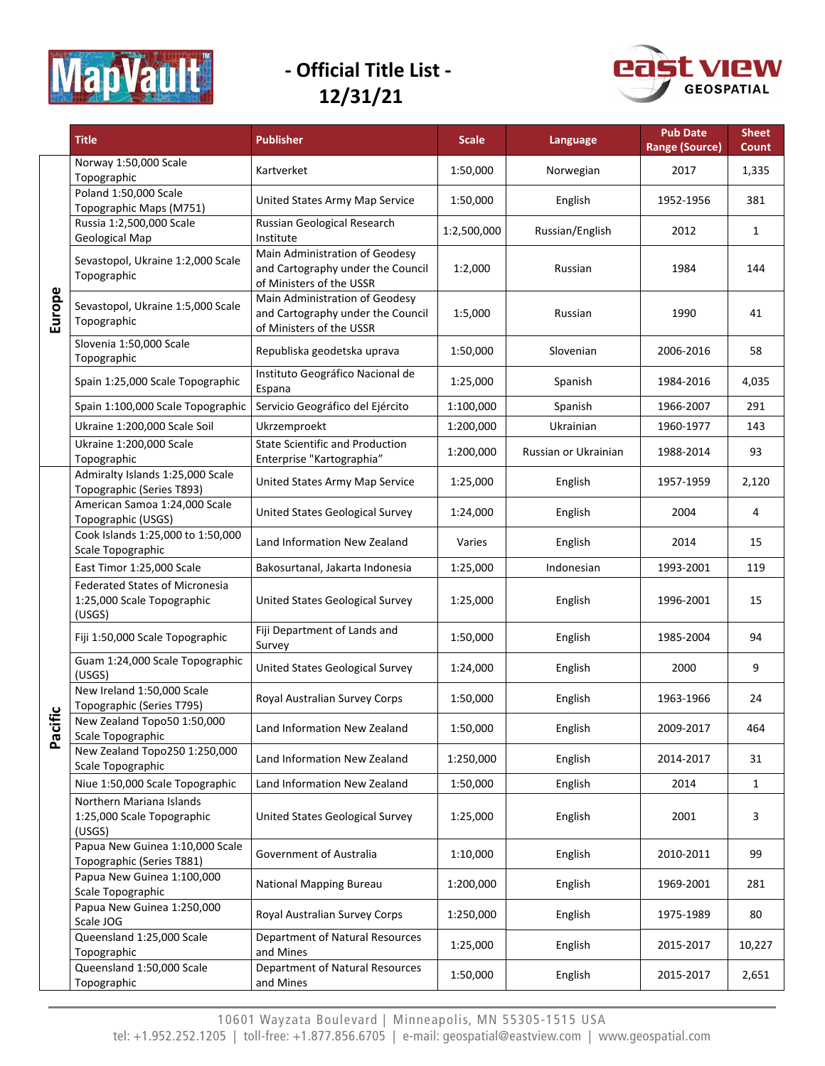



|        | <b>Title</b>                                                                  | <b>Publisher</b>                                                                                | <b>Scale</b> | Language             | <b>Pub Date</b><br><b>Range (Source)</b> | <b>Sheet</b><br>Count |
|--------|-------------------------------------------------------------------------------|-------------------------------------------------------------------------------------------------|--------------|----------------------|------------------------------------------|-----------------------|
|        | Norway 1:50,000 Scale<br>Topographic                                          | Kartverket                                                                                      | 1:50,000     | Norwegian            | 2017                                     | 1,335                 |
|        | Poland 1:50,000 Scale<br>Topographic Maps (M751)                              | United States Army Map Service                                                                  | 1:50,000     | English              | 1952-1956                                | 381                   |
|        | Russia 1:2,500,000 Scale<br><b>Geological Map</b>                             | Russian Geological Research<br>Institute                                                        | 1:2,500,000  | Russian/English      | 2012                                     | 1                     |
| Europe | Sevastopol, Ukraine 1:2,000 Scale<br>Topographic                              | Main Administration of Geodesy<br>and Cartography under the Council<br>of Ministers of the USSR | 1:2,000      | Russian              | 1984                                     | 144                   |
|        | Sevastopol, Ukraine 1:5,000 Scale<br>Topographic                              | Main Administration of Geodesy<br>and Cartography under the Council<br>of Ministers of the USSR | 1:5,000      | Russian              | 1990                                     | 41                    |
|        | Slovenia 1:50,000 Scale<br>Topographic                                        | Republiska geodetska uprava                                                                     | 1:50,000     | Slovenian            | 2006-2016                                | 58                    |
|        | Spain 1:25,000 Scale Topographic                                              | Instituto Geográfico Nacional de<br>Espana                                                      | 1:25,000     | Spanish              | 1984-2016                                | 4,035                 |
|        | Spain 1:100,000 Scale Topographic                                             | Servicio Geográfico del Ejército                                                                | 1:100,000    | Spanish              | 1966-2007                                | 291                   |
|        | Ukraine 1:200,000 Scale Soil                                                  | Ukrzemproekt                                                                                    | 1:200,000    | Ukrainian            | 1960-1977                                | 143                   |
|        | Ukraine 1:200,000 Scale<br>Topographic                                        | <b>State Scientific and Production</b><br>Enterprise "Kartographia"                             | 1:200,000    | Russian or Ukrainian | 1988-2014                                | 93                    |
|        | Admiralty Islands 1:25,000 Scale<br>Topographic (Series T893)                 | United States Army Map Service                                                                  | 1:25,000     | English              | 1957-1959                                | 2,120                 |
|        | American Samoa 1:24,000 Scale<br>Topographic (USGS)                           | United States Geological Survey                                                                 | 1:24,000     | English              | 2004                                     | 4                     |
|        | Cook Islands 1:25,000 to 1:50,000<br>Scale Topographic                        | Land Information New Zealand                                                                    | Varies       | English              | 2014                                     | 15                    |
|        | East Timor 1:25,000 Scale                                                     | Bakosurtanal, Jakarta Indonesia                                                                 | 1:25,000     | Indonesian           | 1993-2001                                | 119                   |
|        | <b>Federated States of Micronesia</b><br>1:25,000 Scale Topographic<br>(USGS) | United States Geological Survey                                                                 | 1:25,000     | English              | 1996-2001                                | 15                    |
|        | Fiji 1:50,000 Scale Topographic                                               | Fiji Department of Lands and<br>Survey                                                          | 1:50,000     | English              | 1985-2004                                | 94                    |
|        | Guam 1:24,000 Scale Topographic<br>(USGS)                                     | <b>United States Geological Survey</b>                                                          | 1:24,000     | English              | 2000                                     | 9                     |
|        | New Ireland 1:50,000 Scale<br>Topographic (Series T795)                       | Royal Australian Survey Corps                                                                   | 1:50,000     | English              | 1963-1966                                | 24                    |
| Pacif  | New Zealand Topo50 1:50,000<br>Scale Topographic                              | Land Information New Zealand                                                                    | 1:50,000     | English              | 2009-2017                                | 464                   |
|        | New Zealand Topo250 1:250,000<br>Scale Topographic                            | Land Information New Zealand                                                                    | 1:250,000    | English              | 2014-2017                                | 31                    |
|        | Niue 1:50,000 Scale Topographic                                               | Land Information New Zealand                                                                    | 1:50,000     | English              | 2014                                     | 1                     |
|        | Northern Mariana Islands<br>1:25,000 Scale Topographic<br>(USGS)              | United States Geological Survey                                                                 | 1:25,000     | English              | 2001                                     | 3                     |
|        | Papua New Guinea 1:10,000 Scale<br>Topographic (Series T881)                  | Government of Australia                                                                         | 1:10,000     | English              | 2010-2011                                | 99                    |
|        | Papua New Guinea 1:100,000<br>Scale Topographic                               | <b>National Mapping Bureau</b>                                                                  | 1:200,000    | English              | 1969-2001                                | 281                   |
|        | Papua New Guinea 1:250,000<br>Scale JOG                                       | Royal Australian Survey Corps                                                                   | 1:250,000    | English              | 1975-1989                                | 80                    |
|        | Queensland 1:25,000 Scale<br>Topographic                                      | Department of Natural Resources<br>and Mines                                                    | 1:25,000     | English              | 2015-2017                                | 10,227                |
|        | Queensland 1:50,000 Scale<br>Topographic                                      | Department of Natural Resources<br>and Mines                                                    | 1:50,000     | English              | 2015-2017                                | 2,651                 |